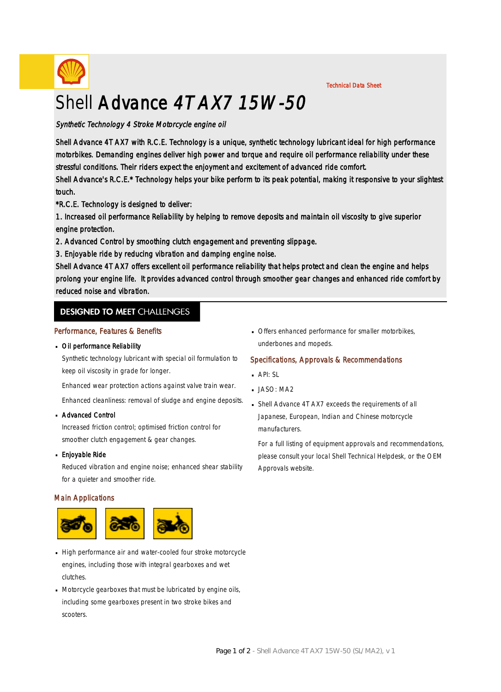

Technical Data Sheet

# Shell Advance 4T AX7 15W-50

# Synthetic Technology 4 Stroke Motorcycle engine oil

Shell Advance 4T AX7 with R.C.E. Technology is a unique, synthetic technology lubricant ideal for high performance motorbikes. Demanding engines deliver high power and torque and require oil performance reliability under these stressful conditions. Their riders expect the enjoyment and excitement of advanced ride comfort.

Shell Advance's R.C.E.\* Technology helps your bike perform to its peak potential, making it responsive to your slightest touch.

\*R.C.E. Technology is designed to deliver:

1. Increased oil performance Reliability by helping to remove deposits and maintain oil viscosity to give superior engine protection.

- 2. Advanced Control by smoothing clutch engagement and preventing slippage.
- 3. Enjoyable ride by reducing vibration and damping engine noise.

Shell Advance 4T AX7 offers excellent oil performance reliability that helps protect and clean the engine and helps prolong your engine life. It provides advanced control through smoother gear changes and enhanced ride comfort by reduced noise and vibration.

# **DESIGNED TO MEET CHALLENGES**

### Performance, Features & Benefits

# Oil performance Reliability ·

Synthetic technology lubricant with special oil formulation to keep oil viscosity in grade for longer.

Enhanced wear protection actions against valve train wear.

Enhanced cleanliness: removal of sludge and engine deposits.

#### Advanced Control ·

Increased friction control; optimised friction control for smoother clutch engagement & gear changes.

#### **Enjoyable Ride**

Reduced vibration and engine noise; enhanced shear stability for a quieter and smoother ride.

# Main Applications



- High performance air and water-cooled four stroke motorcycle engines, including those with integral gearboxes and wet clutches.
- Motorcycle gearboxes that must be lubricated by engine oils, · including some gearboxes present in two stroke bikes and scooters.

**• Offers enhanced performance for smaller motorbikes,** underbones and mopeds.

# Specifications, Approvals & Recommendations

- $API: SL$
- **JASO: MA2**
- Shell Advance 4T AX7 exceeds the requirements of all · Japanese, European, Indian and Chinese motorcycle manufacturers.

For a full listing of equipment approvals and recommendations, please consult your local Shell Technical Helpdesk, or the OEM Approvals website.